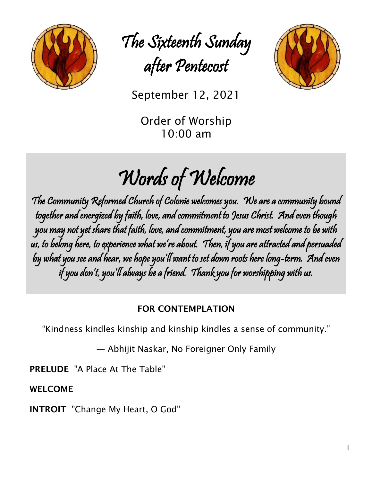

The Sixteenth Sunday after Pentecost



September 12, 2021

Order of Worship 10:00 am

# Words of Welcome

The Community Reformed Church of Colonie welcomes you. We are a community bound together and energized by faith, love, and commitment to Jesus Christ. And even though you may not yet share that faith, love, and commitment, you are most welcome to be with us, to belong here, to experience what we're about. Then, if you are attracted and persuaded by what you see and hear, we hope you'll want to set down roots here long-term. And even if you don't, you'll always be a friend. Thank you for worshipping with us.

# FOR CONTEMPLATION

"Kindness kindles kinship and kinship kindles a sense of community."

― Abhijit Naskar, [No Foreigner Only Family](https://www.goodreads.com/work/quotes/84678254)

PRELUDE "A Place At The Table"

WELCOME

INTROIT "Change My Heart, O God"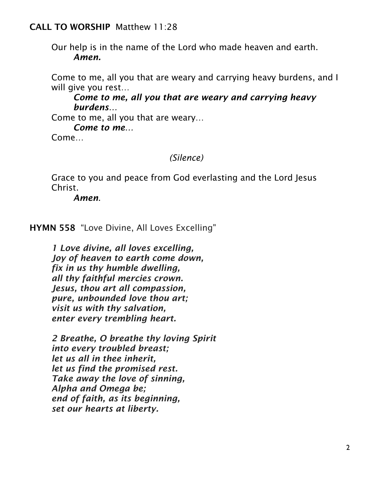### CALL TO WORSHIP Matthew 11:28

Our help is in the name of the Lord who made heaven and earth. *Amen.*

Come to me, all you that are weary and carrying heavy burdens, and I will give you rest…

#### *Come to me, all you that are weary and carrying heavy burdens…*

Come to me, all you that are weary…

*Come to me…*

Come…

#### *(Silence)*

Grace to you and peace from God everlasting and the Lord Jesus Christ.

*Amen*.

HYMN 558 "Love Divine, All Loves Excelling"

*1 Love divine, all loves excelling, Joy of heaven to earth come down, fix in us thy humble dwelling, all thy faithful mercies crown. Jesus, thou art all compassion, pure, unbounded love thou art; visit us with thy salvation, enter every trembling heart.*

*2 Breathe, O breathe thy loving Spirit into every troubled breast; let us all in thee inherit, let us find the promised rest. Take away the love of sinning, Alpha and Omega be; end of faith, as its beginning, set our hearts at liberty.*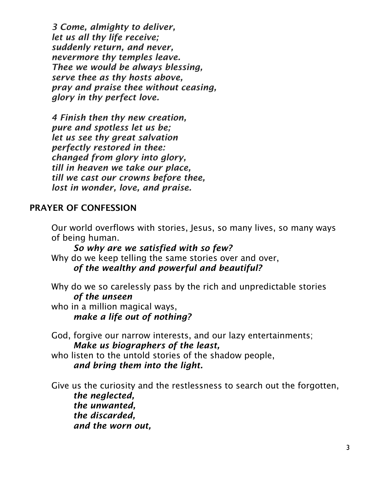*3 Come, almighty to deliver, let us all thy life receive; suddenly return, and never, nevermore thy temples leave. Thee we would be always blessing, serve thee as thy hosts above, pray and praise thee without ceasing, glory in thy perfect love.*

*4 Finish then thy new creation, pure and spotless let us be; let us see thy great salvation perfectly restored in thee: changed from glory into glory, till in heaven we take our place, till we cast our crowns before thee, lost in wonder, love, and praise.*

# PRAYER OF CONFESSION

Our world overflows with stories, Jesus, so many lives, so many ways of being human.

*So why are we satisfied with so few?* Why do we keep telling the same stories over and over, *of the wealthy and powerful and beautiful?*

Why do we so carelessly pass by the rich and unpredictable stories *of the unseen* who in a million magical ways, *make a life out of nothing?*

God, forgive our narrow interests, and our lazy entertainments; *Make us biographers of the least,*

who listen to the untold stories of the shadow people, *and bring them into the light.*

Give us the curiosity and the restlessness to search out the forgotten, *the neglected, the unwanted, the discarded, and the worn out,*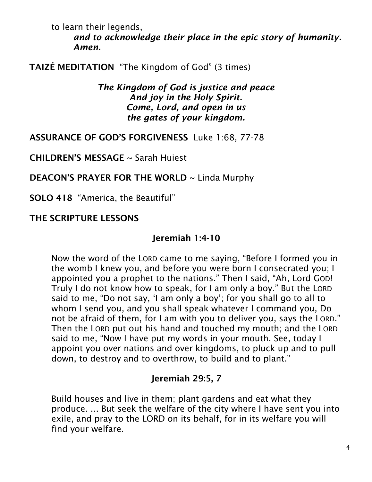to learn their legends, *and to acknowledge their place in the epic story of humanity. Amen.*

TAIZÉ MEDITATION "The Kingdom of God" (3 times)

### *The Kingdom of God is justice and peace And joy in the Holy Spirit. Come, Lord, and open in us the gates of your kingdom.*

#### ASSURANCE OF GOD'S FORGIVENESS Luke 1:68, 77-78

CHILDREN'S MESSAGE ~ Sarah Huiest

#### DEACON'S PRAYER FOR THE WORLD ~ Linda Murphy

SOLO 418 "America, the Beautiful"

# THE SCRIPTURE LESSONS

# Jeremiah 1:4-10

Now the word of the LORD came to me saying, "Before I formed you in the womb I knew you, and before you were born I consecrated you; I appointed you a prophet to the nations." Then I said, "Ah, Lord GOD! Truly I do not know how to speak, for I am only a boy." But the LORD said to me, "Do not say, 'I am only a boy'; for you shall go to all to whom I send you, and you shall speak whatever I command you, Do not be afraid of them, for I am with you to deliver you, says the LORD." Then the LORD put out his hand and touched my mouth; and the LORD said to me, "Now I have put my words in your mouth. See, today I appoint you over nations and over kingdoms, to pluck up and to pull down, to destroy and to overthrow, to build and to plant."

# Jeremiah 29:5, 7

Build houses and live in them; plant gardens and eat what they produce. ... But seek the welfare of the city where I have sent you into exile, and pray to the LORD on its behalf, for in its welfare you will find your welfare.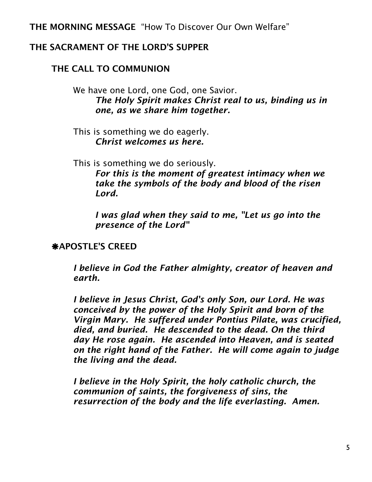THE MORNING MESSAGE "How To Discover Our Own Welfare"

#### THE SACRAMENT OF THE LORD'S SUPPER

# THE CALL TO COMMUNION

We have one Lord, one God, one Savior. *The Holy Spirit makes Christ real to us, binding us in one, as we share him together.*

This is something we do eagerly. *Christ welcomes us here.*

This is something we do seriously. *For this is the moment of greatest intimacy when we take the symbols of the body and blood of the risen Lord.*

*I was glad when they said to me, "Let us go into the presence of the Lord"*

#### APOSTLE'S CREED

*I believe in God the Father almighty, creator of heaven and earth.*

*I believe in Jesus Christ, God's only Son, our Lord. He was conceived by the power of the Holy Spirit and born of the Virgin Mary. He suffered under Pontius Pilate, was crucified, died, and buried. He descended to the dead. On the third day He rose again. He ascended into Heaven, and is seated on the right hand of the Father. He will come again to judge the living and the dead.*

*I believe in the Holy Spirit, the holy catholic church, the communion of saints, the forgiveness of sins, the resurrection of the body and the life everlasting. Amen.*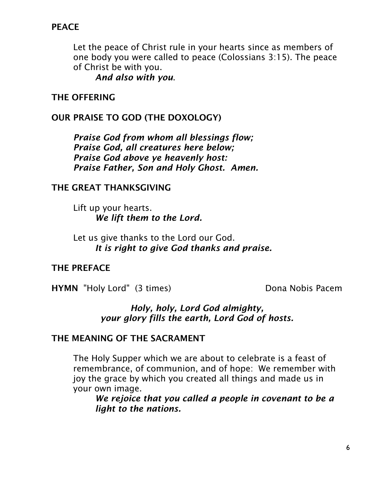**PEACE** 

Let the peace of Christ rule in your hearts since as members of one body you were called to peace (Colossians 3:15). The peace of Christ be with you.

*And also with you*.

THE OFFERING

OUR PRAISE TO GOD (THE DOXOLOGY)

*Praise God from whom all blessings flow; Praise God, all creatures here below; Praise God above ye heavenly host: Praise Father, Son and Holy Ghost. Amen.*

#### THE GREAT THANKSGIVING

Lift up your hearts. *We lift them to the Lord.*

Let us give thanks to the Lord our God. *It is right to give God thanks and praise.*

#### THE PREFACE

HYMN "Holy Lord" (3 times) Dona Nobis Pacem

*Holy, holy, Lord God almighty, your glory fills the earth, Lord God of hosts.*

#### THE MEANING OF THE SACRAMENT

The Holy Supper which we are about to celebrate is a feast of remembrance, of communion, and of hope: We remember with joy the grace by which you created all things and made us in your own image.

*We rejoice that you called a people in covenant to be a light to the nations.*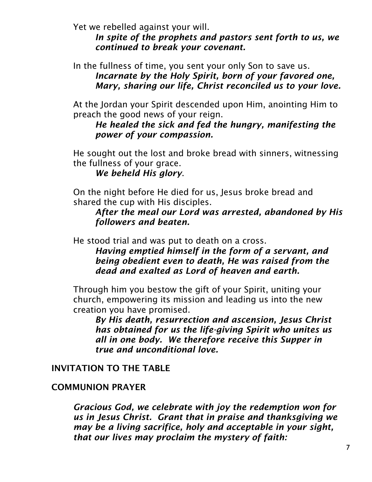Yet we rebelled against your will.

*In spite of the prophets and pastors sent forth to us, we continued to break your covenant.*

In the fullness of time, you sent your only Son to save us. *Incarnate by the Holy Spirit, born of your favored one, Mary, sharing our life, Christ reconciled us to your love.*

At the Jordan your Spirit descended upon Him, anointing Him to preach the good news of your reign.

*He healed the sick and fed the hungry, manifesting the power of your compassion.*

He sought out the lost and broke bread with sinners, witnessing the fullness of your grace.

*We beheld His glory*.

On the night before He died for us, Jesus broke bread and shared the cup with His disciples.

*After the meal our Lord was arrested, abandoned by His followers and beaten.*

He stood trial and was put to death on a cross.

*Having emptied himself in the form of a servant, and being obedient even to death, He was raised from the dead and exalted as Lord of heaven and earth.*

Through him you bestow the gift of your Spirit, uniting your church, empowering its mission and leading us into the new creation you have promised.

*By His death, resurrection and ascension, Jesus Christ has obtained for us the life-giving Spirit who unites us all in one body. We therefore receive this Supper in true and unconditional love.*

# INVITATION TO THE TABLE

#### COMMUNION PRAYER

*Gracious God, we celebrate with joy the redemption won for us in Jesus Christ. Grant that in praise and thanksgiving we may be a living sacrifice, holy and acceptable in your sight, that our lives may proclaim the mystery of faith:*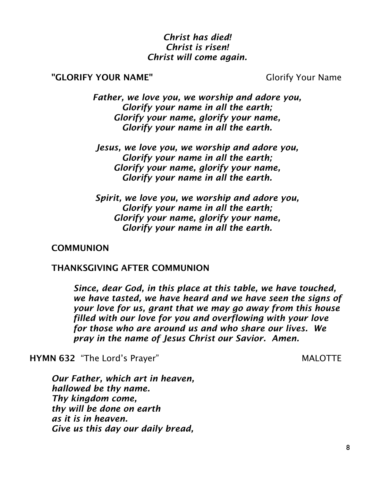#### *Christ has died! Christ is risen! Christ will come again.*

#### "GLORIFY YOUR NAME" Glorify Your Name

*Father, we love you, we worship and adore you, Glorify your name in all the earth; Glorify your name, glorify your name, Glorify your name in all the earth.*

*Jesus, we love you, we worship and adore you, Glorify your name in all the earth; Glorify your name, glorify your name, Glorify your name in all the earth.*

*Spirit, we love you, we worship and adore you, Glorify your name in all the earth; Glorify your name, glorify your name, Glorify your name in all the earth.*

#### **COMMUNION**

#### THANKSGIVING AFTER COMMUNION

*Since, dear God, in this place at this table, we have touched, we have tasted, we have heard and we have seen the signs of your love for us, grant that we may go away from this house filled with our love for you and overflowing with your love for those who are around us and who share our lives. We pray in the name of Jesus Christ our Savior. Amen.*

HYMN 632 "The Lord's Prayer" MALOTTE

*Our Father, which art in heaven, hallowed be thy name. Thy kingdom come, thy will be done on earth as it is in heaven. Give us this day our daily bread,*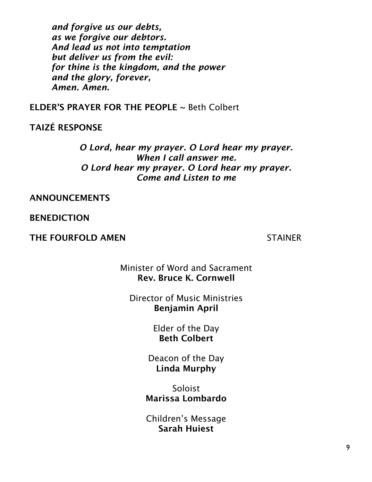*and forgive us our debts, as we forgive our debtors. And lead us not into temptation but deliver us from the evil: for thine is the kingdom, and the power and the glory, forever, Amen. Amen.*

ELDER'S PRAYER FOR THE PEOPLE ~ Beth Colbert

# TAIZÉ RESPONSE

*O Lord, hear my prayer. O Lord hear my prayer. When I call answer me. O Lord hear my prayer. O Lord hear my prayer. Come and Listen to me*

ANNOUNCEMENTS

BENEDICTION

#### THE FOURFOLD AMEN STAINER

Minister of Word and Sacrament Rev. Bruce K. Cornwell

Director of Music Ministries Benjamin April

> Elder of the Day Beth Colbert

Deacon of the Day Linda Murphy

Soloist Marissa Lombardo

Children's Message Sarah Huiest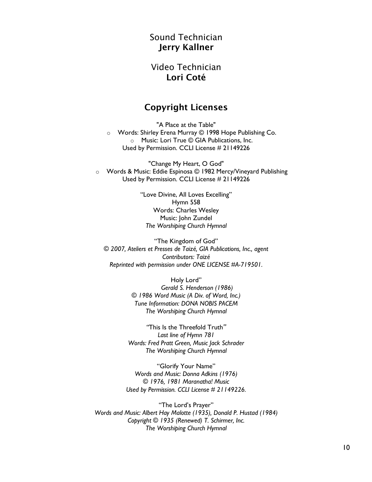#### Sound Technician Jerry Kallner

#### Video Technician Lori Coté

#### Copyright Licenses

"A Place at the Table" o Words: Shirley Erena Murray © 1998 Hope Publishing Co. o Music: Lori True © GIA Publications, Inc. Used by Permission. CCLI License # 21149226

"Change My Heart, O God" o Words & Music: Eddie Espinosa © 1982 Mercy/Vineyard Publishing Used by Permission. CCLI License # 21149226

> "Love Divine, All Loves Excelling" Hymn 558 Words: Charles Wesley Music: John Zundel *The Worshiping Church Hymnal*

"The Kingdom of God" *© 2007, Ateliers et Presses de Taizé, GIA Publications, Inc., agent Contributors: Taizé Reprinted with permission under ONE LICENSE #A-719501.*

> Holy Lord" *Gerald S. Henderson (1986) © 1986 Word Music (A Div. of Word, Inc.) Tune Information: DONA NOBIS PACEM The Worshiping Church Hymnal*

*"*This Is the Threefold Truth*" Last line of Hymn 781 Words: Fred Pratt Green, Music Jack Schrader The Worshiping Church Hymnal*

"Glorify Your Name" *Words and Music: Donna Adkins (1976) © 1976, 1981 Maranatha! Music Used by Permission. CCLI License # 21149226.* 

"The Lord's Prayer" *Words and Music: Albert Hay Malotte (1935), Donald P. Hustad (1984) Copyright © 1935 (Renewed) T. Schirmer, Inc. The Worshiping Church Hymnal*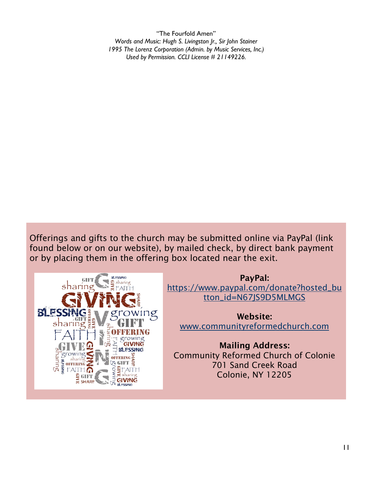"The Fourfold Amen" *Words and Music: Hugh S. Livingston Jr., Sir John Stainer 1995 The Lorenz Corporation (Admin. by Music Services, Inc.) Used by Permission. CCLI License # 21149226.* 

Offerings and gifts to the church may be submitted online via PayPal (link found below or on our website), by mailed check, by direct bank payment or by placing them in the offering box located near the exit.



PayPal: [https://www.paypal.com/donate?hosted\\_bu](https://www.paypal.com/donate?hosted_button_id=N67JS9D5MLMGS) [tton\\_id=N67JS9D5MLMGS](https://www.paypal.com/donate?hosted_button_id=N67JS9D5MLMGS)

Website: [www.communityreformedchurch.com](http://www.communityreformedchurch.com/)

Mailing Address: Community Reformed Church of Colonie 701 Sand Creek Road Colonie, NY 12205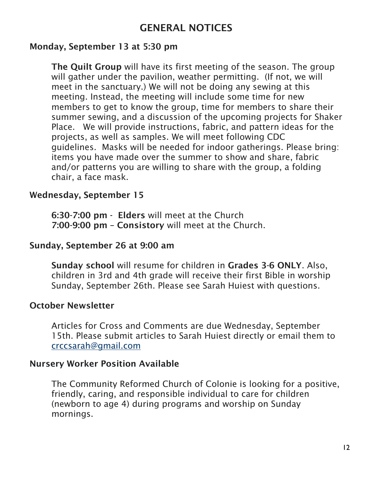# GENERAL NOTICES

### Monday, September 13 at 5:30 pm

The Quilt Group will have its first meeting of the season. The group will gather under the pavilion, weather permitting. (If not, we will meet in the sanctuary.) We will not be doing any sewing at this meeting. Instead, the meeting will include some time for new members to get to know the group, time for members to share their summer sewing, and a discussion of the upcoming projects for Shaker Place. We will provide instructions, fabric, and pattern ideas for the projects, as well as samples. We will meet following CDC guidelines. Masks will be needed for indoor gatherings. Please bring: items you have made over the summer to show and share, fabric and/or patterns you are willing to share with the group, a folding chair, a face mask.

#### Wednesday, September 15

6:30-7:00 pm - Elders will meet at the Church 7:00-9:00 pm – Consistory will meet at the Church.

#### Sunday, September 26 at 9:00 am

Sunday school will resume for children in Grades 3-6 ONLY. Also, children in 3rd and 4th grade will receive their first Bible in worship Sunday, September 26th. Please see Sarah Huiest with questions.

#### October Newsletter

Articles for Cross and Comments are due Wednesday, September 15th. Please submit articles to Sarah Huiest directly or email them to [crccsarah@gmail.com](mailto:crccsarah@gmail.com)

#### Nursery Worker Position Available

The Community Reformed Church of Colonie is looking for a positive, friendly, caring, and responsible individual to care for children (newborn to age 4) during programs and worship on Sunday mornings.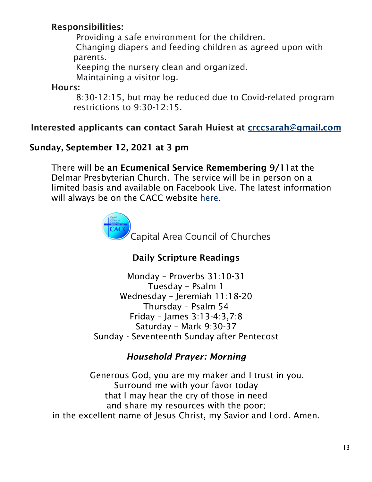# Responsibilities:

Providing a safe environment for the children.

Changing diapers and feeding children as agreed upon with parents.

Keeping the nursery clean and organized.

Maintaining a visitor log.

Hours:

8:30-12:15, but may be reduced due to Covid-related program restrictions to 9:30-12:15.

# Interested applicants can contact Sarah Huiest at [crccsarah@gmail.com](mailto:crccsarah@gmail.com)

# Sunday, September 12, 2021 at 3 pm

There will be an Ecumenical Service Remembering 9/11at the Delmar Presbyterian Church. The service will be in person on a limited basis and available on Facebook Live. The latest information will always be on the CACC website [here.](https://r20.rs6.net/tn.jsp?f=001Y4X7qPZ7dZR9OomLsY5BnounKwTtmG9nuxG7YwnmXFRpvAp7wKSN9SFKpIbGrFKBv_UeMAQf80a7zlWKqcWUIFyWH2bMkEDnyAXxb4eVe1Vy_a5ATGmQGLHNVTbViCLaIhKjMojW4XeH2kYi9PRzFqFF8JpHcWMeH-Yj4gtCI3U=&c=LfdwvmobvHDTQuncgCtBG6REUV_BZnukf_vbqnzkQXZSXbfw5LBdJw==&ch=VV2NMGqN_crXZvChk1EcZLsFnEkEPcTviK74IZvufVkv9lsyJb4scg==)



Daily Scripture Readings

Monday – Proverbs 31:10-31 Tuesday – Psalm 1 Wednesday – Jeremiah 11:18-20 Thursday – Psalm 54 Friday – James 3:13-4:3,7:8 Saturday – Mark 9:30-37 Sunday - Seventeenth Sunday after Pentecost

# *Household Prayer: Morning*

Generous God, you are my maker and I trust in you. Surround me with your favor today that I may hear the cry of those in need and share my resources with the poor; in the excellent name of Jesus Christ, my Savior and Lord. Amen.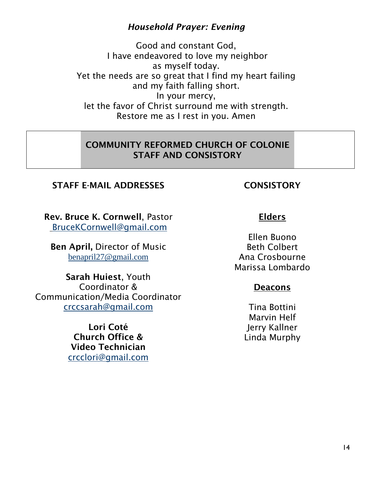# *Household Prayer: Evening*

Good and constant God, I have endeavored to love my neighbor as myself today. Yet the needs are so great that I find my heart failing and my faith falling short. In your mercy, let the favor of Christ surround me with strength. Restore me as I rest in you. Amen

#### COMMUNITY REFORMED CHURCH OF COLONIE STAFF AND CONSISTORY

#### STAFF E-MAIL ADDRESSES CONSISTORY

Rev. Bruce K. Cornwell, Pastor [BruceKCornwell@gmail.com](mailto:BruceKCornwell@gmail.com)

Ben April, Director of Music benapril27@gmail.com

Sarah Huiest, Youth Coordinator & Communication/Media Coordinator [crccsarah@gmail.com](mailto:crccsarah@gmail.com)

> Lori Coté Church Office & Video Technician [crcclori@gmail.com](mailto:crcclori@gmail.com)

#### Elders

Ellen Buono Beth Colbert Ana Crosbourne Marissa Lombardo

#### Deacons

Tina Bottini Marvin Helf Jerry Kallner Linda Murphy